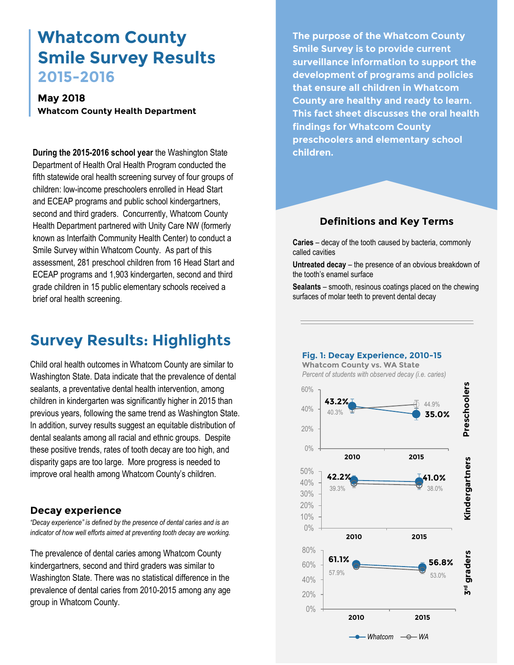# **Whatcom County Smile Survey Results 2015-2016**

## **May 2018 Whatcom County Health Department**

**During the 2015-2016 school year** the Washington State Department of Health Oral Health Program conducted the fifth statewide oral health screening survey of four groups of children: low-income preschoolers enrolled in Head Start and ECEAP programs and public school kindergartners, second and third graders. Concurrently, Whatcom County Health Department partnered with Unity Care NW (formerly known as Interfaith Community Health Center) to conduct a Smile Survey within Whatcom County. As part of this assessment, 281 preschool children from 16 Head Start and ECEAP programs and 1,903 kindergarten, second and third grade children in 15 public elementary schools received a brief oral health screening.

# **Survey Results: Highlights**

Child oral health outcomes in Whatcom County are similar to Washington State. Data indicate that the prevalence of dental sealants, a preventative dental health intervention, among children in kindergarten was significantly higher in 2015 than previous years, following the same trend as Washington State. In addition, survey results suggest an equitable distribution of dental sealants among all racial and ethnic groups. Despite these positive trends, rates of tooth decay are too high, and disparity gaps are too large. More progress is needed to improve oral health among Whatcom County's children.

## **Decay experience**

*"Decay experience" is defined by the presence of dental caries and is an indicator of how well efforts aimed at preventing tooth decay are working.*

The prevalence of dental caries among Whatcom County kindergartners, second and third graders was similar to Washington State. There was no statistical difference in the prevalence of dental caries from 2010-2015 among any age group in Whatcom County.

**The purpose of the Whatcom County Smile Survey is to provide current surveillance information to support the development of programs and policies that ensure all children in Whatcom County are healthy and ready to learn. This fact sheet discusses the oral health findings for Whatcom County preschoolers and elementary school children.**

## **Definitions and Key Terms**

**Caries** – decay of the tooth caused by bacteria, commonly called cavities

**Untreated decay** – the presence of an obvious breakdown of the tooth's enamel surface

**Sealants** – smooth, resinous coatings placed on the chewing surfaces of molar teeth to prevent dental decay

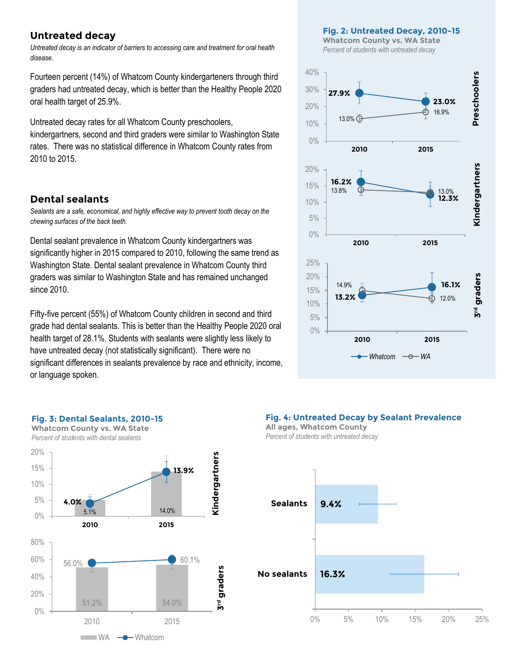## **Untreated decay**

*Untreated decay is an indicator of barriers to accessing care and treatment for oral health disease.*

Fourteen percent (14%) of Whatcom County kindergarteners through third graders had untreated decay, which is better than the Healthy People 2020 oral health target of 25.9%.

Untreated decay rates for all Whatcom County preschoolers, kindergartners, second and third graders were similar to Washington State rates. There was no statistical difference in Whatcom County rates from 2010 to 2015.

### **Dental sealants**

*Sealants are a safe, economical, and highly effective way to prevent tooth decay on the chewing surfaces of the back teeth.* 

Dental sealant prevalence in Whatcom County kindergartners was significantly higher in 2015 compared to 2010, following the same trend as Washington State. Dental sealant prevalence in Whatcom County third graders was similar to Washington State and has remained unchanged since 2010.

Fifty-five percent (55%) of Whatcom County children in second and third grade had dental sealants. This is better than the Healthy People 2020 oral health target of 28.1%. Students with sealants were slightly less likely to have untreated decay (not statistically significant). There were no significant differences in sealants prevalence by race and ethnicity, income, or language spoken.



**Fig. 2: Untreated Decay, 2010-15**

#### **Fig. 3: Dental Sealants, 2010-15 Whatcom County vs. WA State**





**Fig. 4: Untreated Decay by Sealant Prevalence**

**All ages, Whatcom County** *Percent of students with untreated decay*

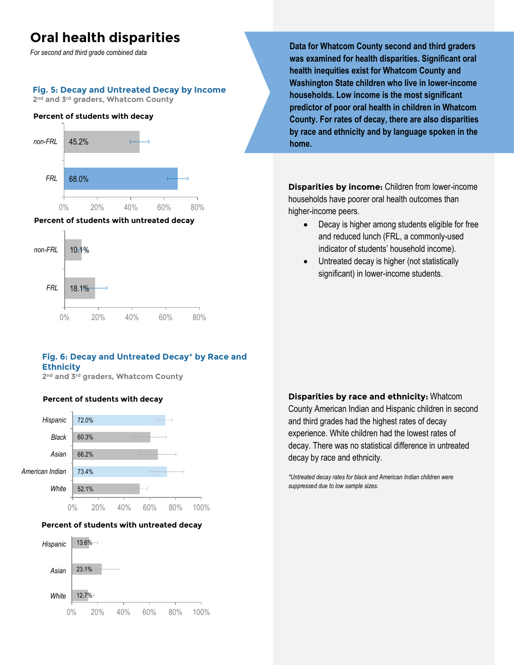## **Oral health disparities**

*For second and third grade combined data*

#### **Fig. 5: Decay and Untreated Decay by Income**

**2 nd and 3rd graders, Whatcom County**

#### **Percent of students with decay**



#### **Percent of students with untreated decay**



### **Fig. 6: Decay and Untreated Decay**\* **by Race and Ethnicity**

**2 nd and 3rd graders, Whatcom County**

## **Percent of students with decay**



#### **Percent of students with untreated decay**



**Data for Whatcom County second and third graders was examined for health disparities. Significant oral health inequities exist for Whatcom County and Washington State children who live in lower-income households. Low income is the most significant predictor of poor oral health in children in Whatcom County. For rates of decay, there are also disparities by race and ethnicity and by language spoken in the home.**

**Disparities by income:** Children from lower-income households have poorer oral health outcomes than higher-income peers.

- Decay is higher among students eligible for free and reduced lunch (FRL, a commonly-used indicator of students' household income).
- Untreated decay is higher (not statistically significant) in lower-income students.

**Disparities by race and ethnicity:** Whatcom County American Indian and Hispanic children in second and third grades had the highest rates of decay experience. White children had the lowest rates of decay. There was no statistical difference in untreated decay by race and ethnicity.

*\*Untreated decay rates for black and American Indian children were suppressed due to low sample sizes.*